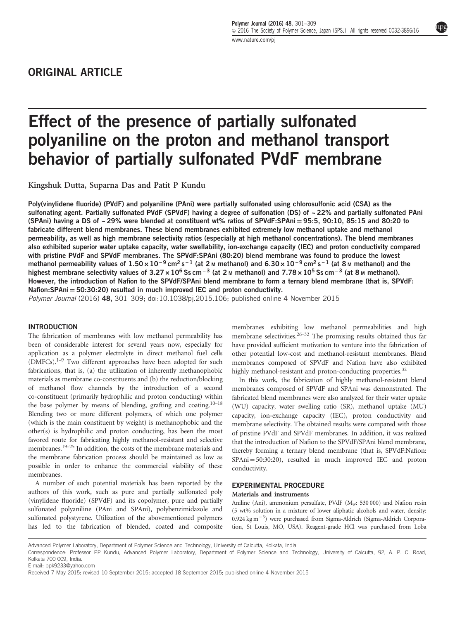# Effect of the presence of partially sulfonated polyaniline on the proton and methanol transport behavior of partially sulfonated PVdF membrane

Kingshuk Dutta, Suparna Das and Patit P Kundu

Poly(vinylidene fluoride) (PVdF) and polyaniline (PAni) were partially sulfonated using chlorosulfonic acid (CSA) as the sulfonating agent. Partially sulfonated PVdF (SPVdF) having a degree of sulfonation (DS) of ~ 22% and partially sulfonated PAni (SPAni) having a DS of  $\sim$  29% were blended at constituent wt% ratios of SPVdF:SPAni = 95:5, 90:10, 85:15 and 80:20 to fabricate different blend membranes. These blend membranes exhibited extremely low methanol uptake and methanol permeability, as well as high membrane selectivity ratios (especially at high methanol concentrations). The blend membranes also exhibited superior water uptake capacity, water swellability, ion-exchange capacity (IEC) and proton conductivity compared with pristine PVdF and SPVdF membranes. The SPVdF:SPAni (80:20) blend membrane was found to produce the lowest methanol permeability values of  $1.50 \times 10^{-9}$  cm<sup>2</sup> s<sup>-1</sup> (at 2 M methanol) and 6.30 x  $10^{-9}$  cm<sup>2</sup> s<sup>-1</sup> (at 8 M methanol) and the highest membrane selectivity values of 3.27 × 10<sup>6</sup> Ss cm<sup>-3</sup> (at 2 M methanol) and 7.78 × 10<sup>5</sup> Ss cm<sup>-3</sup> (at 8 M methanol). However, the introduction of Nafion to the SPVdF/SPAni blend membrane to form a ternary blend membrane (that is, SPVdF: Nafion:SPAni = 50:30:20) resulted in much improved IEC and proton conductivity.

Polymer Journal (2016) 48, 301-309; doi:10.1038/pj.2015.106; published online 4 November 2015

#### **INTRODUCTION**

The fabrication of membranes with low methanol permeability has been of considerable interest for several years now, especially for application as a polymer electrolyte in direct methanol fuel cells (DMFCs).<sup>1–9</sup> Two different approaches have been adopted for such fabrications, that is, (a) the utilization of inherently methanophobic materials as membrane co-constituents and (b) the reduction/blocking of methanol flow channels by the introduction of a second co-constituent (primarily hydrophilic and proton conducting) within the base polymer by means of blending, grafting and coating.<sup>10–18</sup> Blending two or more different polymers, of which one polymer (which is the main constituent by weight) is methanophobic and the other(s) is hydrophilic and proton conducting, has been the most favored route for fabricating highly methanol-resistant and selective membranes.19–<sup>25</sup> In addition, the costs of the membrane materials and the membrane fabrication process should be maintained as low as possible in order to enhance the commercial viability of these membranes.

A number of such potential materials has been reported by the authors of this work, such as pure and partially sulfonated poly (vinylidene fluoride) (SPVdF) and its copolymer, pure and partially sulfonated polyaniline (PAni and SPAni), polybenzimidazole and sulfonated polystyrene. Utilization of the abovementioned polymers has led to the fabrication of blended, coated and composite membranes exhibiting low methanol permeabilities and high membrane selectivities.<sup>26–32</sup> The promising results obtained thus far have provided sufficient motivation to venture into the fabrication of other potential low-cost and methanol-resistant membranes. Blend membranes composed of SPVdF and Nafion have also exhibited highly methanol-resistant and proton-conducting properties.<sup>32</sup>

In this work, the fabrication of highly methanol-resistant blend membranes composed of SPVdF and SPAni was demonstrated. The fabricated blend membranes were also analyzed for their water uptake (WU) capacity, water swelling ratio (SR), methanol uptake (MU) capacity, ion-exchange capacity (IEC), proton conductivity and membrane selectivity. The obtained results were compared with those of pristine PVdF and SPVdF membranes. In addition, it was realized that the introduction of Nafion to the SPVdF/SPAni blend membrane, thereby forming a ternary blend membrane (that is, SPVdF:Nafion: SPAni=50:30:20), resulted in much improved IEC and proton conductivity.

#### EXPERIMENTAL PROCEDURE Materials and instruments

Aniline (Ani), ammonium persulfate, PVdF (Mw: 530 000) and Nafion resin (5 wt% solution in a mixture of lower aliphatic alcohols and water, density: 0.924 kg m<sup>−</sup> <sup>3</sup> ) were purchased from Sigma-Aldrich (Sigma-Aldrich Corporation, St Louis, MO, USA). Reagent-grade HCl was purchased from Loba

E-mail: ppk9233@yahoo.com

Advanced Polymer Laboratory, Department of Polymer Science and Technology, University of Calcutta, Kolkata, India

Correspondence: Professor PP Kundu, Advanced Polymer Laboratory, Department of Polymer Science and Technology, University of Calcutta, 92, A. P. C. Road, Kolkata 700 009, India.

Received 7 May 2015; revised 10 September 2015; accepted 18 September 2015; published online 4 November 2015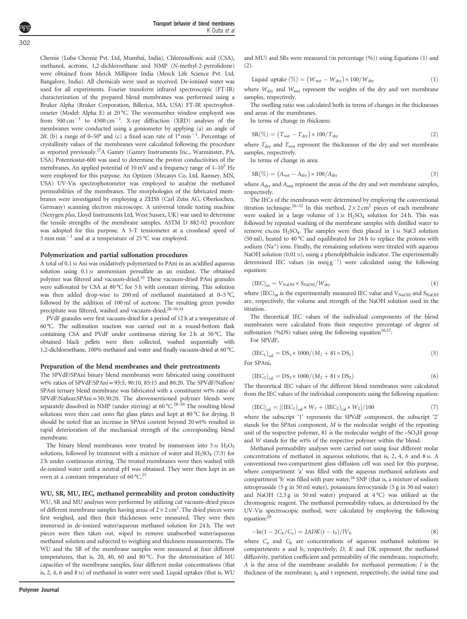Chemie (Loba Chemie Pvt. Ltd, Mumbai, India). Chlorosulfonic acid (CSA), methanol, acetone, 1,2-dichloroethane and NMP (N-methyl-2-pyrrolidone) were obtained from Merck Millipore India (Merck Life Science Pvt. Ltd, Bangalore, India). All chemicals were used as received. De-ionized water was used for all experiments. Fourier transform infrared spectroscopic (FT-IR) characterization of the prepared blend membranes was performed using a Bruker Alpha (Bruker Corporation, Billerica, MA, USA) FT-IR spectrophotometer (Model: Alpha E) at 20 °C. The wavenumber window employed was from  $500 \text{ cm}^{-1}$  to  $4500 \text{ cm}^{-1}$ . X-ray diffraction (XRD) analyses of the membranes were conducted using a goniometer by applying (a) an angle of 2 $\theta$ , (b) a range of 0-50° and (c) a fixed scan rate of 1° min<sup>-1</sup>. Percentage of crystallinity values of the membranes were calculated following the procedure as reported previously.27A Gamry (Gamry Instruments Inc., Warminster, PA, USA) Potentiostat-600 was used to determine the proton conductivities of the membranes. An applied potential of 10 mV and a frequency range of 1–10<sup>5</sup> Hz were employed for this purpose. An Optizen (Mecasys Co. Ltd, Ramsey, MN, USA) UV-Vis spectrophotometer was employed to analyze the methanol permeabilities of the membranes. The morphologies of the fabricated membranes were investigated by employing a ZEISS (Carl Zeiss AG, Oberkochen, Germany) scanning electron microscope. A universal tensile testing machine (Nexygen plus, Lloyd Instruments Ltd, West Sussex, UK) was used to determine the tensile strengths of the membrane samples. ASTM D 882-02 procedure was adopted for this purpose. A 5-T tensiometer at a crosshead speed of 5 mm min<sup>−</sup> <sup>1</sup> and at a temperature of 25 °C was employed.

#### Polymerization and partial sulfonation procedures

A total of 0.1 <sup>M</sup> Ani was oxidatively polymerized to PAni in an acidified aqueous solution using 0.1 <sup>M</sup> ammonium persulfate as an oxidant. The obtained polymer was filtered and vacuum-dried.<sup>33</sup> These vacuum-dried PAni granules were sulfonated by CSA at 80 °C for 5 h with constant stirring. This solution was then added drop-wise to 200 ml of methanol maintained at 0–5 °C, followed by the addition of 100 ml of acetone. The resulting green powder precipitate was filtered, washed and vacuum-dried.28–30,34

PVdF granules were first vacuum-dried for a period of 12 h at a temperature of 60 °C. The sulfonation reaction was carried out in a round-bottom flask containing CSA and PVdF under continuous stirring for 2h at 50 °C. The obtained black pellets were then collected, washed sequentially with 1,2-dichloroethane, 100% methanol and water and finally vacuum-dried at 60 °C.

#### Preparation of the blend membranes and their pretreatments

The SPVdF/SPAni binary blend membranes were fabricated using constituent wt% ratios of SPVdF:SPAni=95:5, 90:10, 85:15 and 80:20. The SPVdF/Nafion/ SPAni ternary blend membrane was fabricated with a constituent wt% ratio of SPVdF:Nafion:SPAni=50:30:20. The abovementioned polymer blends were separately dissolved in NMP (under stirring) at 60 °C.<sup>28–30</sup> The resulting blend solutions were then cast onto flat glass plates and kept at 80 °C for drying. It should be noted that an increase in SPAni content beyond 20 wt% resulted in rapid deterioration of the mechanical strength of the corresponding blend membrane.

The binary blend membranes were treated by immersion into  $5 \text{ M H}_2\text{O}_2$ solutions, followed by treatment with a mixture of water and  $H_2SO_4$  (7:3) for 2 h under continuous stirring. The treated membranes were then washed with de-ionized water until a neutral pH was obtained. They were then kept in an oven at a constant temperature of 60 °C.<sup>35</sup>

#### WU, SR, MU, IEC, methanol permeability and proton conductivity

WU, SR and MU analyses were performed by utilizing cut vacuum-dried pieces of different membrane samples having areas of  $2 \times 2$  cm<sup>2</sup>. The dried pieces were first weighed, and then their thicknesses were measured. They were then immersed in de-ionized water/aqueous methanol solution for 24 h. The wet pieces were then taken out, wiped to remove unabsorbed water/aqueous methanol solution and subjected to weighing and thickness measurements. The WU and the SR of the membrane samples were measured at four different temperatures, that is, 20, 40, 60 and 80 °C. For the determination of MU capacities of the membrane samples, four different molar concentrations (that is, 2, 4, 6 and 8 <sup>M</sup>) of methanol in water were used. Liquid uptakes (that is, WU and MU) and SRs were measured (in percentage (%)) using Equations (1) and  $(2)$ .

$$
Liquid uptake (\%) = (W_{wet} - W_{dry}) \times 100 / W_{dry}
$$
 (1)

where  $W_{\text{dry}}$  and  $W_{\text{wet}}$  represent the weights of the dry and wet membrane samples, respectively.

The swelling ratio was calculated both in terms of changes in the thicknesses and areas of the membranes.

In terms of change in thickness:

$$
SR(\%) = (T_{\text{wet}} - T_{\text{dry}}) \times 100/T_{\text{dry}}
$$
\n(2)

where  $T_{\text{dry}}$  and  $T_{\text{wet}}$  represent the thicknesses of the dry and wet membrane samples, respectively.

In terms of change in area:

$$
SR(\%) = (A_{\text{wet}} - A_{\text{dry}}) \times 100 / A_{\text{dry}} \tag{3}
$$

where  $A_{\text{dry}}$  and  $A_{\text{wet}}$  represent the areas of the dry and wet membrane samples, respectively.

The IECs of the membranes were determined by employing the conventional titration technique.<sup>26–32</sup> In this method,  $2 \times 2$  cm<sup>2</sup> pieces of each membrane were soaked in a large volume of  $1 \text{ M H}_2$ SO<sub>4</sub> solution for 24 h. This was followed by repeated washing of the membrane samples with distilled water to remove excess  $H_2SO_4$ . The samples were then placed in 1  $\text{M}$  NaCl solution (50 ml), heated to 40 °C and equilibrated for 24 h to replace the protons with sodium  $(Na<sup>+</sup>)$  ions. Finally, the remaining solutions were titrated with aqueous NaOH solution (0.01 N), using a phenolphthalein indicator. The experimentally determined IEC values (in meq g<sup>-1</sup>) were calculated using the following equation:

$$
(\text{IEC})_{\text{m}} = V_{\text{NaOH}} \times S_{\text{NaOH}} / W_{\text{dry}} \tag{4}
$$

where  $(IEC)_{m}$  is the experimentally measured IEC value and  $V_{NaOH}$  and  $S_{NaOH}$ are, respectively, the volume and strength of the NaOH solution used in the titration.

The theoretical IEC values of the individual components of the blend membranes were calculated from their respective percentage of degree of sulfonation (%DS) values using the following equation<sup>36,37</sup>:

For SPVdF,

$$
(IEC1)cal = DS1 × 1000/(M1 + 81 × DS1)
$$
\n(5)

For SPAni,

$$
(IEC2)cal = DS2 × 1000/(M2 + 81 × DS2)
$$
 (6)

The theoretical IEC values of the different blend membranes were calculated from the IEC values of the individual components using the following equation:

$$
(IEC)_{\text{cal}} = [(IEC_1)_{\text{cal}} \times W_1 + (IEC_2)_{\text{cal}} \times W_2]/100
$$
 (7)

where the subscript '1' represents the SPVdF component, the subscript '2' stands for the SPAni component, M is the molecular weight of the repeating unit of the respective polymer, 81 is the molecular weight of the  $-SO<sub>3</sub>H$  group and W stands for the wt% of the respective polymer within the blend.

Methanol permeability analyses were carried out using four different molar concentrations of methanol in aqueous solutions, that is, 2, 4, 6 and 8 <sup>M</sup>. A conventional two-compartment glass diffusion cell was used for this purpose, where compartment 'a' was filled with the aqueous methanol solutions and compartment 'b' was filled with pure water.<sup>26</sup> SNP (that is, a mixture of sodium nitroprusside (5 g in 50 ml water), potassium ferrocyanide (5 g in 50 ml water) and NaOH (2.5 g in 50 ml water) prepared at  $4^{\circ}$ C) was utilized as the chromogenic reagent. The methanol permeability values, as determined by the UV-Vis spectroscopic method, were calculated by employing the following equation:<sup>29</sup>

$$
-\ln(1 - 2C_b/C_a) = 2ADK(t - t_0)/IV_b
$$
\n(8)

where  $C_a$  and  $C_b$  are concentrations of aqueous methanol solutions in compartments a and b, respectively; D, K and DK represent the methanol diffusivity, partition coefficient and permeability of the membrane, respectively; A is the area of the membrane available for methanol permeation; l is the thickness of the membrane;  $t_0$  and  $t$  represent, respectively, the initial time and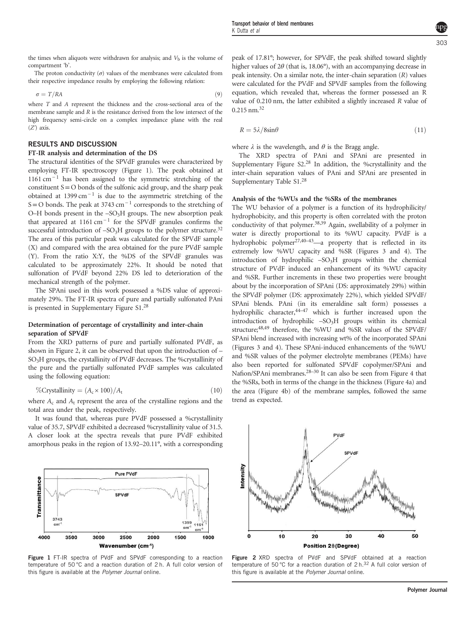the times when aliquots were withdrawn for analysis; and  $V<sub>b</sub>$  is the volume of compartment 'b'.

The proton conductivity  $(\sigma)$  values of the membranes were calculated from their respective impedance results by employing the following relation:

$$
\sigma = T/RA \tag{9}
$$

where T and A represent the thickness and the cross-sectional area of the membrane sample and R is the resistance derived from the low intersect of the high frequency semi-circle on a complex impedance plane with the real  $(Z')$  axis.

# RESULTS AND DISCUSSION

# FT-IR analysis and determination of the DS

The structural identities of the SPVdF granules were characterized by employing FT-IR spectroscopy (Figure 1). The peak obtained at 1161 cm<sup>-1</sup> has been assigned to the symmetric stretching of the constituent  $S = O$  bonds of the sulfonic acid group, and the sharp peak obtained at 1399 cm−<sup>1</sup> is due to the asymmetric stretching of the S = O bonds. The peak at 3743 cm<sup>-1</sup> corresponds to the stretching of O–H bonds present in the  $-SO<sub>3</sub>H$  groups. The new absorption peak that appeared at 1161 cm−<sup>1</sup> for the SPVdF granules confirms the successful introduction of -SO<sub>3</sub>H groups to the polymer structure.<sup>32</sup> The area of this particular peak was calculated for the SPVdF sample (X) and compared with the area obtained for the pure PVdF sample (Y). From the ratio X:Y, the %DS of the SPVdF granules was calculated to be approximately 22%. It should be noted that sulfonation of PVdF beyond 22% DS led to deterioration of the mechanical strength of the polymer.

The SPAni used in this work possessed a %DS value of approximately 29%. The FT-IR spectra of pure and partially sulfonated PAni is presented in Supplementary Figure S1.<sup>28</sup>

# Determination of percentage of crystallinity and inter-chain separation of SPVdF

From the XRD patterns of pure and partially sulfonated PVdF, as shown in Figure 2, it can be observed that upon the introduction of – SO3H groups, the crystallinity of PVdF decreases. The %crystallinity of the pure and the partially sulfonated PVdF samples was calculated using the following equation:

$$
\%Crystallinity = (A_c \times 100)/A_t \tag{10}
$$

where  $A_c$  and  $A_t$  represent the area of the crystalline regions and the total area under the peak, respectively.

It was found that, whereas pure PVdF possessed a %crystallinity value of 35.7, SPVdF exhibited a decreased %crystallinity value of 31.5. A closer look at the spectra reveals that pure PVdF exhibited amorphous peaks in the region of 13.92–20.11°, with a corresponding



Figure 1 FT-IR spectra of PVdF and SPVdF corresponding to a reaction temperature of 50 °C and a reaction duration of 2 h. A full color version of this figure is available at the Polymer Journal online.

peak of 17.81°; however, for SPVdF, the peak shifted toward slightly higher values of  $2\theta$  (that is, 18.06°), with an accompanying decrease in peak intensity. On a similar note, the inter-chain separation (R) values were calculated for the PVdF and SPVdF samples from the following equation, which revealed that, whereas the former possessed an R value of 0.210 nm, the latter exhibited a slightly increased R value of 0.215 nm.<sup>32</sup>

$$
R = 5\lambda/8\sin\theta\tag{11}
$$

where  $\lambda$  is the wavelength, and  $\theta$  is the Bragg angle.

The XRD spectra of PAni and SPAni are presented in Supplementary Figure S2.<sup>28</sup> In addition, the %crystallinity and the inter-chain separation values of PAni and SPAni are presented in Supplementary Table S1.<sup>28</sup>

# Analysis of the %WUs and the %SRs of the membranes

The WU behavior of a polymer is a function of its hydrophilicity/ hydrophobicity, and this property is often correlated with the proton conductivity of that polymer.<sup>38,39</sup> Again, swellability of a polymer in water is directly proportional to its %WU capacity. PVdF is a hydrophobic polymer $27,40-43$ —a property that is reflected in its extremely low %WU capacity and %SR (Figures 3 and 4). The introduction of hydrophilic  $-SO<sub>3</sub>H$  groups within the chemical structure of PVdF induced an enhancement of its %WU capacity and %SR. Further increments in these two properties were brought about by the incorporation of SPAni (DS: approximately 29%) within the SPVdF polymer (DS: approximately 22%), which yielded SPVdF/ SPAni blends. PAni (in its emeraldine salt form) possesses a hydrophilic character,44–<sup>47</sup> which is further increased upon the introduction of hydrophilic  $-SO<sub>3</sub>H$  groups within its chemical structure;48,49 therefore, the %WU and %SR values of the SPVdF/ SPAni blend increased with increasing wt% of the incorporated SPAni (Figures 3 and 4). These SPAni-induced enhancements of the %WU and %SR values of the polymer electrolyte membranes (PEMs) have also been reported for sulfonated SPVdF copolymer/SPAni and Nafion/SPAni membranes.<sup>28–30</sup> It can also be seen from Figure 4 that the %SRs, both in terms of the change in the thickness (Figure 4a) and the area (Figure 4b) of the membrane samples, followed the same trend as expected.



Figure 2 XRD spectra of PVdF and SPVdF obtained at a reaction temperature of 50 °C for a reaction duration of 2 h.<sup>32</sup> A full color version of this figure is available at the Polymer Journal online.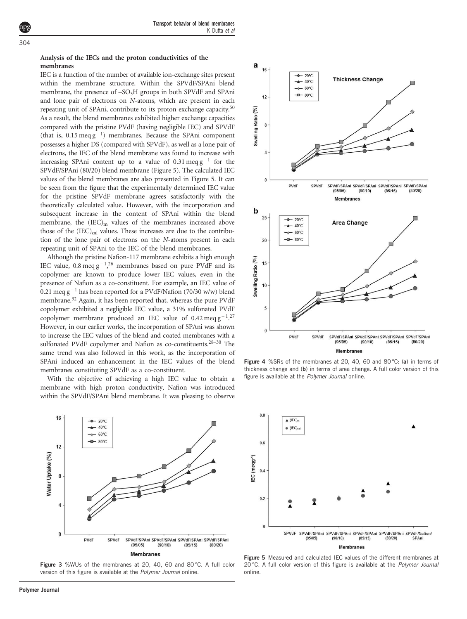## Analysis of the IECs and the proton conductivities of the membranes

IEC is a function of the number of available ion-exchange sites present within the membrane structure. Within the SPVdF/SPAni blend membrane, the presence of -SO<sub>3</sub>H groups in both SPVdF and SPAni and lone pair of electrons on N-atoms, which are present in each repeating unit of SPAni, contribute to its proton exchange capacity.<sup>50</sup> As a result, the blend membranes exhibited higher exchange capacities compared with the pristine PVdF (having negligible IEC) and SPVdF (that is,  $0.15 \text{~mag}^{-1}$ ) membranes. Because the SPAni component possesses a higher DS (compared with SPVdF), as well as a lone pair of electrons, the IEC of the blend membrane was found to increase with increasing SPAni content up to a value of  $0.31$  meq  $g^{-1}$  for the SPVdF/SPAni (80/20) blend membrane (Figure 5). The calculated IEC values of the blend membranes are also presented in Figure 5. It can be seen from the figure that the experimentally determined IEC value for the pristine SPVdF membrane agrees satisfactorily with the theoretically calculated value. However, with the incorporation and subsequent increase in the content of SPAni within the blend membrane, the  $(IEC)_{m}$  values of the membranes increased above those of the  $(IEC)_{cal}$  values. These increases are due to the contribution of the lone pair of electrons on the N-atoms present in each repeating unit of SPAni to the IEC of the blend membranes.

Although the pristine Nafion-117 membrane exhibits a high enough IEC value, 0.8 meq g<sup>-1</sup>,<sup>26</sup> membranes based on pure PVdF and its copolymer are known to produce lower IEC values, even in the presence of Nafion as a co-constituent. For example, an IEC value of 0.21 meq g<sup>-1</sup> has been reported for a PVdF/Nafion (70/30 w/w) blend membrane.<sup>32</sup> Again, it has been reported that, whereas the pure PVdF copolymer exhibited a negligible IEC value, a 31% sulfonated PVdF copolymer membrane produced an IEC value of  $0.42 \text{ meq g}^{-1}$ .<sup>27</sup> However, in our earlier works, the incorporation of SPAni was shown to increase the IEC values of the blend and coated membranes with a sulfonated PVdF copolymer and Nafion as co-constituents.<sup>28-30</sup> The same trend was also followed in this work, as the incorporation of SPAni induced an enhancement in the IEC values of the blend membranes constituting SPVdF as a co-constituent.

With the objective of achieving a high IEC value to obtain a membrane with high proton conductivity, Nafion was introduced within the SPVdF/SPAni blend membrane. It was pleasing to observe







Figure 4 %SRs of the membranes at 20, 40, 60 and 80 °C: (a) in terms of thickness change and (b) in terms of area change. A full color version of this figure is available at the Polymer Journal online.



Figure 5 Measured and calculated IEC values of the different membranes at 20 °C. A full color version of this figure is available at the *Polymer Journal* online.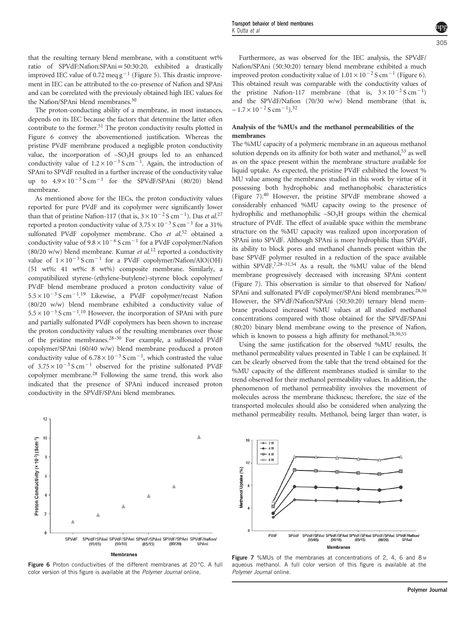that the resulting ternary blend membrane, with a constituent wt% ratio of SPVdF:Nafion:SPAni=50:30:20, exhibited a drastically improved IEC value of 0.72 meq  $g^{-1}$  (Figure 5). This drastic improvement in IEC can be attributed to the co-presence of Nafion and SPAni and can be correlated with the previously obtained high IEC values for the Nafion/SPAni blend membranes.<sup>30</sup>

The proton-conducting ability of a membrane, in most instances, depends on its IEC because the factors that determine the latter often contribute to the former.<sup>51</sup> The proton conductivity results plotted in Figure 6 convey the abovementioned justification. Whereas the pristine PVdF membrane produced a negligible proton conductivity value, the incorporation of  $-SO<sub>3</sub>H$  groups led to an enhanced conductivity value of  $1.2 \times 10^{-3}$  S cm<sup>-1</sup>. Again, the introduction of SPAni to SPVdF resulted in a further increase of the conductivity value up to  $4.9 \times 10^{-3}$  S cm<sup>-1</sup> for the SPVdF/SPAni (80/20) blend membrane.

As mentioned above for the IECs, the proton conductivity values reported for pure PVdF and its copolymer were significantly lower than that of pristine Nafion-117 (that is,  $3 \times 10^{-2}$  S cm<sup>-1</sup>). Das et al.<sup>27</sup> reported a proton conductivity value of  $3.75 \times 10^{-3}$  S cm<sup>-1</sup> for a 31% sulfonated PVdF copolymer membrane. Cho et al.<sup>52</sup> obtained a conductivity value of  $9.8 \times 10^{-6}$  S cm<sup>-1</sup> for a PVdF copolymer/Nafion (80/20 w/w) blend membrane. Kumar et  $al$ .<sup>12</sup> reported a conductivity value of  $1 \times 10^{-3}$  S cm<sup>-1</sup> for a PVdF copolymer/Nafion/AlO(OH) (51 wt%: 41 wt%: 8 wt%) composite membrane. Similarly, a compatibilized styrene-(ethylene-butylene)-styrene block copolymer/ PVdF blend membrane produced a proton conductivity value of 5.5 × 10−<sup>3</sup> S cm<sup>−</sup> <sup>1</sup> . <sup>19</sup> Likewise, a PVdF copolymer/recast Nafion (80/20 w/w) blend membrane exhibited a conductivity value of  $5.5 \times 10^{-3}$  S cm<sup>-1</sup>.<sup>10</sup> However, the incorporation of SPAni with pure and partially sulfonated PVdF copolymers has been shown to increase the proton conductivity values of the resulting membranes over those of the pristine membranes.28–<sup>30</sup> For example, a sulfonated PVdF copolymer/SPAni (60/40 w/w) blend membrane produced a proton conductivity value of  $6.78 \times 10^{-3}$  S cm<sup>-1</sup>, which contrasted the value of  $3.75 \times 10^{-3}$  S cm<sup>-1</sup> observed for the pristine sulfonated PVdF copolymer membrane.<sup>28</sup> Following the same trend, this work also indicated that the presence of SPAni induced increased proton conductivity in the SPVdF/SPAni blend membranes.

Furthermore, as was observed for the IEC analysis, the SPVdF/ Nafion/SPAni (50:30:20) ternary blend membrane exhibited a much improved proton conductivity value of  $1.01 \times 10^{-2}$  S cm<sup>-1</sup> (Figure 6). This obtained result was comparable with the conductivity values of the pristine Nafion-117 membrane (that is,  $3 \times 10^{-2}$  S cm<sup>-1</sup>) and the SPVdF/Nafion (70/30 w/w) blend membrane (that is,  $\sim$  1.7 × 10<sup>-2</sup> S cm<sup>-1</sup>).<sup>32</sup>

## Analysis of the %MUs and the methanol permeabilities of the membranes

The %MU capacity of a polymeric membrane in an aqueous methanol solution depends on its affinity for both water and methanol,<sup>53</sup> as well as on the space present within the membrane structure available for liquid uptake. As expected, the pristine PVdF exhibited the lowest % MU value among the membranes studied in this work by virtue of it possessing both hydrophobic and methanophobic characteristics (Figure 7).<sup>40</sup> However, the pristine SPVdF membrane showed a considerably enhanced %MU capacity owing to the presence of hydrophilic and methanophilic -SO<sub>3</sub>H groups within the chemical structure of PVdF. The effect of available space within the membrane structure on the %MU capacity was realized upon incorporation of SPAni into SPVdF. Although SPAni is more hydrophilic than SPVdF, its ability to block pores and methanol channels present within the base SPVdF polymer resulted in a reduction of the space available within SPVdF.<sup>7,28–31,54</sup> As a result, the %MU value of the blend membrane progressively decreased with increasing SPAni content (Figure 7). This observation is similar to that observed for Nafion/ SPAni and sulfonated PVdF copolymer/SPAni blend membranes.<sup>28,30</sup> However, the SPVdF/Nafion/SPAni (50:30:20) ternary blend membrane produced increased %MU values at all studied methanol concentrations compared with those obtained for the SPVdF/SPAni (80:20) binary blend membrane owing to the presence of Nafion, which is known to possess a high affinity for methanol.<sup>28,30,55</sup>

Using the same justification for the observed %MU results, the methanol permeability values presented in Table 1 can be explained. It can be clearly observed from the table that the trend obtained for the %MU capacity of the different membranes studied is similar to the trend observed for their methanol permeability values. In addition, the phenomenon of methanol permeability involves the movement of molecules across the membrane thickness; therefore, the size of the transported molecules should also be considered when analyzing the methanol permeability results. Methanol, being larger than water, is



Figure 6 Proton conductivities of the different membranes at 20 °C. A full color version of this figure is available at the Polymer Journal online.



**Figure 7** %MUs of the membranes at concentrations of 2, 4, 6 and 8 M aqueous methanol. A full color version of this figure is available at the Polymer Journal online.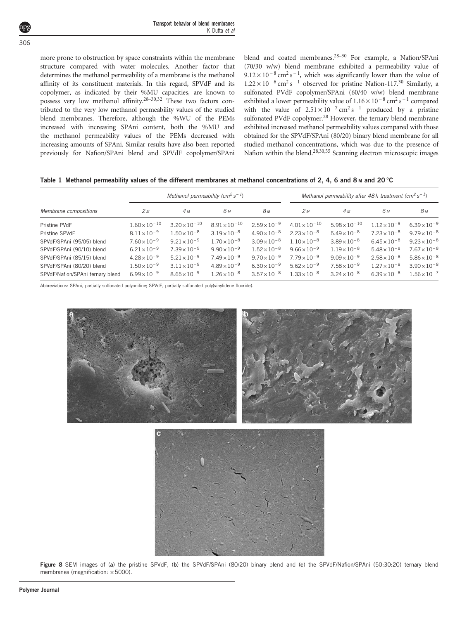Transport behavior of blend membranes K Dutta et al

more prone to obstruction by space constraints within the membrane structure compared with water molecules. Another factor that determines the methanol permeability of a membrane is the methanol affinity of its constituent materials. In this regard, SPVdF and its copolymer, as indicated by their %MU capacities, are known to possess very low methanol affinity.28–30,32 These two factors contributed to the very low methanol permeability values of the studied blend membranes. Therefore, although the %WU of the PEMs increased with increasing SPAni content, both the %MU and the methanol permeability values of the PEMs decreased with increasing amounts of SPAni. Similar results have also been reported previously for Nafion/SPAni blend and SPVdF copolymer/SPAni blend and coated membranes.<sup>28–30</sup> For example, a Nafion/SPAni (70/30 w/w) blend membrane exhibited a permeability value of  $9.12 \times 10^{-8}$  cm<sup>2</sup> s<sup>-1</sup>, which was significantly lower than the value of 1.22 × 10<sup>-6</sup> cm<sup>2</sup> s<sup>-1</sup> observed for pristine Nafion-117.<sup>30</sup> Similarly, a sulfonated PVdF copolymer/SPAni (60/40 w/w) blend membrane exhibited a lower permeability value of  $1.16 \times 10^{-8}$  cm<sup>2</sup> s<sup>-1</sup> compared with the value of  $2.51 \times 10^{-7}$  cm<sup>2</sup> s<sup>-1</sup> produced by a pristine sulfonated PVdF copolymer.<sup>28</sup> However, the ternary blend membrane exhibited increased methanol permeability values compared with those obtained for the SPVdF/SPAni (80/20) binary blend membrane for all studied methanol concentrations, which was due to the presence of Nafion within the blend.28,30,55 Scanning electron microscopic images

Table 1 Methanol permeability values of the different membranes at methanol concentrations of 2, 4, 6 and 8 M and 20 °C

| Membrane compositions            | Methanol permeability (cm <sup>2</sup> s <sup>-1</sup> ) |                        |                        |                       | Methanol permeability after 48 h treatment (cm <sup>2</sup> s <sup>-1</sup> ) |                        |                       |                       |  |
|----------------------------------|----------------------------------------------------------|------------------------|------------------------|-----------------------|-------------------------------------------------------------------------------|------------------------|-----------------------|-----------------------|--|
|                                  | 2 <sub>M</sub>                                           | 4 M                    | 6 м                    | 8 м                   | 2м                                                                            | 4 M                    | 6 м                   | 8 м                   |  |
| Pristine PVdF                    | $1.60 \times 10^{-10}$                                   | $3.20 \times 10^{-10}$ | $8.91 \times 10^{-10}$ | $2.59 \times 10^{-9}$ | $4.01 \times 10^{-10}$                                                        | $5.98 \times 10^{-10}$ | $1.12 \times 10^{-9}$ | $6.39 \times 10^{-9}$ |  |
| Pristine SPVdF                   | $8.11 \times 10^{-9}$                                    | $1.50 \times 10^{-8}$  | $3.19 \times 10^{-8}$  | $4.90 \times 10^{-8}$ | $2.23 \times 10^{-8}$                                                         | $5.49 \times 10^{-8}$  | $7.23 \times 10^{-8}$ | $9.79 \times 10^{-8}$ |  |
| SPVdF/SPAni (95/05) blend        | $7.60 \times 10^{-9}$                                    | $9.21 \times 10^{-9}$  | $1.70 \times 10^{-8}$  | $3.09 \times 10^{-8}$ | $1.10 \times 10^{-8}$                                                         | $3.89 \times 10^{-8}$  | $6.45 \times 10^{-8}$ | $9.23 \times 10^{-8}$ |  |
| SPVdF/SPAni (90/10) blend        | $6.21 \times 10^{-9}$                                    | $7.39 \times 10^{-9}$  | $9.90 \times 10^{-9}$  | $1.52 \times 10^{-8}$ | $9.66 \times 10^{-9}$                                                         | $1.19 \times 10^{-8}$  | $5.48 \times 10^{-8}$ | $7.67 \times 10^{-8}$ |  |
| SPVdF/SPAni (85/15) blend        | $4.28 \times 10^{-9}$                                    | $5.21 \times 10^{-9}$  | $7.49 \times 10^{-9}$  | $9.70 \times 10^{-9}$ | $7.79 \times 10^{-9}$                                                         | $9.09 \times 10^{-9}$  | $2.58 \times 10^{-8}$ | $5.86 \times 10^{-8}$ |  |
| SPVdF/SPAni (80/20) blend        | $1.50 \times 10^{-9}$                                    | $3.11 \times 10^{-9}$  | $4.89 \times 10^{-9}$  | $6.30 \times 10^{-9}$ | $5.62 \times 10^{-9}$                                                         | $7.58 \times 10^{-9}$  | $1.27 \times 10^{-8}$ | $3.90 \times 10^{-8}$ |  |
| SPVdF/Nafion/SPAni ternary blend | $6.99 \times 10^{-9}$                                    | $8.65 \times 10^{-9}$  | $1.26 \times 10^{-8}$  | $3.57 \times 10^{-8}$ | $1.33 \times 10^{-8}$                                                         | $3.24 \times 10^{-8}$  | $6.39 \times 10^{-8}$ | $1.56 \times 10^{-7}$ |  |

Abbreviations: SPAni, partially sulfonated polyaniline; SPVdF, partially sulfonated poly(vinylidene fluoride).





Figure 8 SEM images of (a) the pristine SPVdF, (b) the SPVdF/SPAni (80/20) binary blend and (c) the SPVdF/Nafion/SPAni (50:30:20) ternary blend membranes (magnification: × 5000).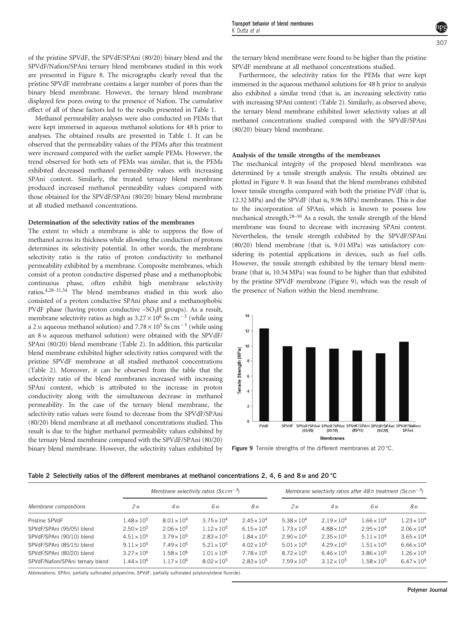of the pristine SPVdF, the SPVdF/SPAni (80/20) binary blend and the SPVdF/Nafion/SPAni ternary blend membranes studied in this work are presented in Figure 8. The micrographs clearly reveal that the pristine SPVdF membrane contains a larger number of pores than the binary blend membrane. However, the ternary blend membrane displayed few pores owing to the presence of Nafion. The cumulative effect of all of these factors led to the results presented in Table 1.

Methanol permeability analyses were also conducted on PEMs that were kept immersed in aqueous methanol solutions for 48 h prior to analyses. The obtained results are presented in Table 1. It can be observed that the permeability values of the PEMs after this treatment were increased compared with the earlier sample PEMs. However, the trend observed for both sets of PEMs was similar, that is, the PEMs exhibited decreased methanol permeability values with increasing SPAni content. Similarly, the treated ternary blend membrane produced increased methanol permeability values compared with those obtained for the SPVdF/SPAni (80/20) binary blend membrane at all studied methanol concentrations.

## Determination of the selectivity ratios of the membranes

The extent to which a membrane is able to suppress the flow of methanol across its thickness while allowing the conduction of protons determines its selectivity potential. In other words, the membrane selectivity ratio is the ratio of proton conductivity to methanol permeability exhibited by a membrane. Composite membranes, which consist of a proton conductive dispersed phase and a methanophobic continuous phase, often exhibit high membrane selectivity ratios.4,28–31,54 The blend membranes studied in this work also consisted of a proton conductive SPAni phase and a methanophobic PVdF phase (having proton conductive  $-SO<sub>3</sub>H$  groups). As a result, membrane selectivity ratios as high as  $3.27 \times 10^6$  Ss cm<sup>-3</sup> (while using a 2 M aqueous methanol solution) and  $7.78 \times 10^5$  Ss cm<sup>-3</sup> (while using an 8 <sup>M</sup> aqueous methanol solution) were obtained with the SPVdF/ SPAni (80/20) blend membrane (Table 2). In addition, this particular blend membrane exhibited higher selectivity ratios compared with the pristine SPVdF membrane at all studied methanol concentrations (Table 2). Moreover, it can be observed from the table that the selectivity ratio of the blend membranes increased with increasing SPAni content, which is attributed to the increase in proton conductivity along with the simultaneous decrease in methanol permeability. In the case of the ternary blend membrane, the selectivity ratio values were found to decrease from the SPVdF/SPAni (80/20) blend membrane at all methanol concentrations studied. This result is due to the higher methanol permeability values exhibited by the ternary blend membrane compared with the SPVdF/SPAni (80/20) binary blend membrane. However, the selectivity values exhibited by the ternary blend membrane were found to be higher than the pristine SPVdF membrane at all methanol concentrations studied.

Furthermore, the selectivity ratios for the PEMs that were kept immersed in the aqueous methanol solutions for 48 h prior to analysis also exhibited a similar trend (that is, an increasing selectivity ratio with increasing SPAni content) (Table 2). Similarly, as observed above, the ternary blend membrane exhibited lower selectivity values at all methanol concentrations studied compared with the SPVdF/SPAni (80/20) binary blend membrane.

# Analysis of the tensile strengths of the membranes

The mechanical integrity of the proposed blend membranes was determined by a tensile strength analysis. The results obtained are plotted in Figure 9. It was found that the blend membranes exhibited lower tensile strengths compared with both the pristine PVdF (that is, 12.32 MPa) and the SPVdF (that is, 9.96 MPa) membranes. This is due to the incorporation of SPAni, which is known to possess low mechanical strength.28–<sup>30</sup> As a result, the tensile strength of the blend membrane was found to decrease with increasing SPAni content. Nevertheless, the tensile strength exhibited by the SPVdF/SPAni (80/20) blend membrane (that is, 9.01 MPa) was satisfactory considering its potential applications in devices, such as fuel cells. However, the tensile strength exhibited by the ternary blend membrane (that is, 10.54 MPa) was found to be higher than that exhibited by the pristine SPVdF membrane (Figure 9), which was the result of the presence of Nafion within the blend membrane.



Figure 9 Tensile strengths of the different membranes at 20 °C.

|  | Table 2 Selectivity ratios of the different membranes at methanol concentrations 2, 4, 6 and 8 $\text{M}$ and 20 °C |  |  |  |
|--|---------------------------------------------------------------------------------------------------------------------|--|--|--|
|--|---------------------------------------------------------------------------------------------------------------------|--|--|--|

| Membrane compositions            | Membrane selectivity ratios (Ss $cm^{-3}$ ) |                      |                      |                      | Membrane selectivity ratios after 48 h treatment (Ss cm <sup>-3</sup> ) |                      |                      |                      |  |
|----------------------------------|---------------------------------------------|----------------------|----------------------|----------------------|-------------------------------------------------------------------------|----------------------|----------------------|----------------------|--|
|                                  | 2м                                          | 4 <sub>M</sub>       | 6 м                  | 8м                   | 2 <sub>M</sub>                                                          | 4 <sub>M</sub>       | 6 м                  | 8 м                  |  |
| Pristine SPVdF                   | $1.48 \times 10^{5}$                        | $8.01 \times 10^{4}$ | $3.75 \times 10^{4}$ | $2.45 \times 10^{4}$ | $5.38 \times 10^{4}$                                                    | $2.19 \times 10^{4}$ | $1.66 \times 10^{4}$ | $1.23 \times 10^{4}$ |  |
| SPVdF/SPAni (95/05) blend        | $2.50 \times 10^{5}$                        | $2.06 \times 10^{5}$ | $1.12 \times 10^{5}$ | $6.15 \times 10^{4}$ | $1.73 \times 10^{5}$                                                    | $4.88 \times 10^{4}$ | $2.95 \times 10^{4}$ | $2.06 \times 10^{4}$ |  |
| SPVdF/SPAni (90/10) blend        | $4.51 \times 10^{5}$                        | $3.79 \times 10^{5}$ | $2.83 \times 10^{5}$ | $1.84 \times 10^{5}$ | $2.90 \times 10^{5}$                                                    | $2.35 \times 10^{5}$ | $5.11 \times 10^{4}$ | $3.65 \times 10^{4}$ |  |
| SPVdF/SPAni (85/15) blend        | $9.11 \times 10^{5}$                        | $7.49 \times 10^{5}$ | $5.21 \times 10^{5}$ | $4.02 \times 10^{5}$ | $5.01 \times 10^{5}$                                                    | $4.29 \times 10^{5}$ | $1.51 \times 10^{5}$ | $6.66 \times 10^{4}$ |  |
| SPVdF/SPAni (80/20) blend        | $3.27 \times 10^{6}$                        | $1.58 \times 10^{6}$ | $1.01 \times 10^{6}$ | $7.78 \times 10^{5}$ | $8.72 \times 10^{5}$                                                    | $6.46 \times 10^{5}$ | $3.86 \times 10^{5}$ | $1.26 \times 10^{5}$ |  |
| SPVdF/Nafion/SPAni ternary blend | $1.44 \times 10^{6}$                        | $1.17 \times 10^6$   | $8.02 \times 10^{5}$ | $2.83 \times 10^{5}$ | $7.59 \times 10^{5}$                                                    | $3.12 \times 10^{5}$ | $1.58 \times 10^{5}$ | $6.47 \times 10^{4}$ |  |

Abbreviations: SPAni, partially sulfonated polyaniline; SPVdF, partially sulfonated poly(vinylidene fluoride).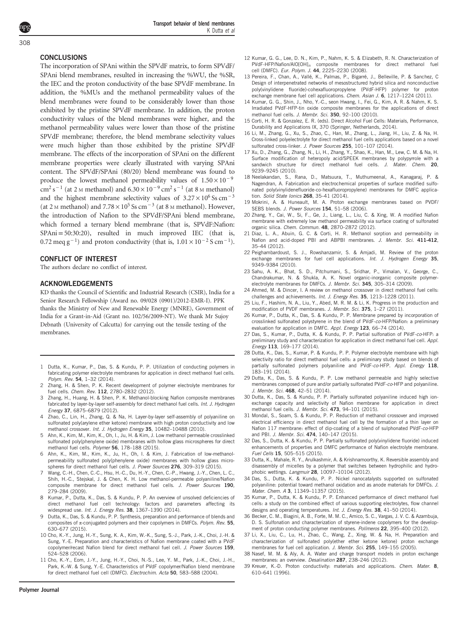## **CONCLUSIONS**

The incorporation of SPAni within the SPVdF matrix, to form SPVdF/ SPAni blend membranes, resulted in increasing the %WU, the %SR, the IEC and the proton conductivity of the base SPVdF membrane. In addition, the %MUs and the methanol permeability values of the blend membranes were found to be considerably lower than those exhibited by the pristine SPVdF membrane. In addition, the proton conductivity values of the blend membranes were higher, and the methanol permeability values were lower than those of the pristine SPVdF membrane; therefore, the blend membrane selectivity values were much higher than those exhibited by the pristine SPVdF membrane. The effects of the incorporation of SPAni on the different membrane properties were clearly illustrated with varying SPAni content. The SPVdF/SPAni (80/20) blend membrane was found to produce the lowest methanol permeability values of  $1.50 \times 10^{-9}$ cm<sup>2</sup> s<sup>-1</sup> (at 2 M methanol) and  $6.30 \times 10^{-9}$  cm<sup>2</sup> s<sup>-1</sup> (at 8 M methanol) and the highest membrane selectivity values of  $3.27 \times 10^6$  Ss cm<sup>-3</sup> (at 2 M methanol) and  $7.78 \times 10^5$  Ss cm<sup>-3</sup> (at 8 M methanol). However, the introduction of Nafion to the SPVdF/SPAni blend membrane, which formed a ternary blend membrane (that is, SPVdF:Nafion:  $SPAni = 50:30:20$ , resulted in much improved IEC (that is, 0.72 meq g<sup>-1</sup>) and proton conductivity (that is,  $1.01 \times 10^{-2}$  S cm<sup>-1</sup>).

# CONFLICT OF INTEREST

The authors declare no conflict of interest.

#### ACKNOWLEDGEMENTS

KD thanks the Council of Scientific and Industrial Research (CSIR), India for a Senior Research Fellowship (Award no. 09/028 (0901)/2012-EMR-I). PPK thanks the Ministry of New and Renewable Energy (MNRE), Government of India for a Grant-in-Aid (Grant no. 102/56/2009-NT). We thank Mr Sujoy Debnath (University of Calcutta) for carrying out the tensile testing of the membranes.

- 1 Dutta, K., Kumar, P., Das, S. & Kundu, P. P. Utilization of conducting polymers in fabricating polymer electrolyte membranes for application in direct methanol fuel cells. Polym. Rev. 54, 1-32 (2014).
- 2 Zhang, H. & Shen, P. K. Recent development of polymer electrolyte membranes for fuel cells. Chem. Rev. 112, 2780–2832 (2012).
- 3 Zhang, H., Huang, H. & Shen, P. K. Methanol-blocking Nafion composite membranes fabricated by layer-by-layer self-assembly for direct methanol fuel cells. Int. J. Hydrogen Energy 37, 6875–6879 (2012).
- 4 Zhao, C., Lin, H., Zhang, Q. & Na, H. Layer-by-layer self-assembly of polyaniline on sulfonated poly(arylene ether ketone) membrane with high proton conductivity and low methanol crossover. Int. J. Hydrogen Energy 35, 10482-10488 (2010).
- 5 Ahn, K., Kim, M., Kim, K., Oh, I., Ju, H. & Kim, J. Low methanol permeable crosslinked sulfonated poly(phenylene oxide) membranes with hollow glass microspheres for direct methanol fuel cells. Polymer 56, 178-188 (2015).
- 6 Ahn, K., Kim, M., Kim, K., Ju, H., Oh, I. & Kim, J. Fabrication of low-methanolpermeability sulfonated poly(phenylene oxide) membranes with hollow glass microspheres for direct methanol fuel cells. J. Power Sources 276, 309-319 (2015).
- 7 Wang, C.-H., Chen, C.-C., Hsu, H.-C., Du, H.-Y., Chen, C.-P., Hwang, J.-Y., Chen, L. C., Shih, H.-C., Stejskal, J. & Chen, K. H. Low methanol-permeable polyaniline/Nafion composite membrane for direct methanol fuel cells. J. Power Sources 190, 279–284 (2009).
- Kumar, P., Dutta, K., Das, S. & Kundu, P. P. An overview of unsolved deficiencies of direct methanol fuel cell technology: factors and parameters affecting its widespread use. Int. J. Energy Res. 38, 1367–1390 (2014).
- 9 Dutta, K., Das, S. & Kundu, P. P. Synthesis, preparation and performance of blends and composites of π-conjugated polymers and their copolymers in DMFCs. Polym. Rev. 55, 630–677 (2015).
- 10 Cho, K.-Y., Jung, H.-Y., Sung, K. A., Kim, W.-K., Sung, S.-J., Park, J.-K., Choi, J.-H. & Sung, Y.-E. Preparation and characteristics of Nafion membrane coated with a PVdF copolymer/recast Nafion blend for direct methanol fuel cell. J. Power Sources 159, 524–528 (2006).
- 11 Cho, K.-Y., Eom, J.-Y., Jung, H.-Y., Choi, N.-S., Lee, Y. M., Park, J.-K., Choi, J.-H., Park, K.-W. & Sung, Y.-E. Characteristics of PVdF copolymer/Nafion blend membrane for direct methanol fuel cell (DMFC). Electrochim. Acta 50, 583–588 (2004).
- 12 Kumar, G. G., Lee, D. N., Kim, P., Nahm, K. S. & Elizabeth, R. N. Characterization of PVdF-HFP/Nafion/AlO[OH]<sub>n</sub> composite membranes for direct methanol fuel cell (DMFC). Eur. Polym. J. 44, 2225–2230 (2008).
- 13 Pereira, F., Chan, A., Vallé, K., Palmas, P., Bigarré, J., Belleville, P. & Sanchez, C Design of interpenetrated networks of mesostructured hybrid silica and nonconductive poly(vinylidene fluoride)-cohexafluoropropylene (PVdF-HFP) polymer for proton exchange membrane fuel cell applications. Chem. Asian J. 6, 1217-1224 (2011).
- 14 Kumar, G. G., Shin, J., Nho, Y.-C., seon Hwang, I., Fei, G., Kim, A. R. & Nahm, K. S. Irradiated PVdF-HFP-tin oxide composite membranes for the applications of direct methanol fuel cells. J. Membr. Sci. 350, 92–100 (2010).
- 15 Corti, H. R. & Gonzalez, E. R. (eds). Direct Alcohol Fuel Cells: Materials, Performance, Durability and Applications IX, 370 (Springer, Netherlands, 2014).
- 16 Li, M., Zhang, G., Xu, S., Zhao, C., Han, M., Zhang, L., Jiang, H., Liu, Z. & Na, H. Cross-linked polyelectrolyte for direct methanol fuel cells applications based on a novel sulfonated cross-linker. J. Power Sources 255, 101-107 (2014).
- 17 Xu, D., Zhang, G., Zhang, N., Li, H., Zhang, Y., Shao, K., Han, M., Lew, C. M. & Na, H. Surface modification of heteropoly acid/SPEEK membranes by polypyrrole with a sandwich structure for direct methanol fuel cells. J. Mater. Chem. 20, 9239–9245 (2010).
- 18 Neelakandan, S., Rana, D., Matsuura, T., Muthumeenal, A., Kanagaraj, P. & Nagendran, A. Fabrication and electrochemical properties of surface modified sulfonated poly(vinylidenefluoride-co-hexafluoropropylene) membranes for DMFC application. Solid State Ionics 268, 35–41 (2014).
- 19 Mokrini, A. & Huneault, M. A. Proton exchange membranes based on PVDF/ SEBS blends. J. Power Sources 154, 51–58 (2006).
- 20 Zhang, Y., Cai, W., Si, F., Ge, J., Liang, L., Liu, C. & Xing, W. A modified Nafion membrane with extremely low methanol permeability via surface coating of sulfonated organic silica. Chem. Commun. 48, 2870–2872 (2012).
- 21 Diaz, L. A., Abuin, G. C. & Corti, H. R. Methanol sorption and permeability in Nafion and acid-doped PBI and ABPBI membranes. J. Membr. Sci. 411-412, 35–44 (2012).
- 22 Peighambardoust, S. J., Rowshanzamir, S. & Amjadi, M. Review of the proton exchange membranes for fuel cell applications. Int. J. Hydrogen Energy 35, 9349–9384 (2010).
- 23 Sahu, A. K., Bhat, S. D., Pitchumani, S., Sridhar, P., Vimalan, V., George, C., Chandrakumar, N. & Shukla, A. K. Novel organic-inorganic composite polymerelectrolyte membranes for DMFCs. J. Membr. Sci. 345, 305-314 (2009).
- 24 Ahmed, M. & Dincer, I. A review on methanol crossover in direct methanol fuel cells: challenges and achievements. Int. J. Energy Res. 35, 1213-1228 (2011).
- 25 Liu, F., Hashim, N. A., Liu, Y., Abed, M. R. M. & Li, K. Progress in the production and modification of PVDF membranes. J. Membr. Sci. 375, 1-27 (2011).
- 26 Kumar, P., Dutta, K., Das, S. & Kundu, P. P. Membrane prepared by incorporation of crosslinked sulfonated polystyrene in the blend of PVdF-co-HFP/Nafion: a preliminary evaluation for application in DMFC. Appl. Energy 123, 66-74 (2014).
- 27 Das, S., Kumar, P., Dutta, K. & Kundu, P. P. Partial sulfonation of PVdF-co-HFP: a preliminary study and characterization for application in direct methanol fuel cell. Appl. Energy 113, 169–177 (2014).
- 28 Dutta, K., Das, S., Kumar, P. & Kundu, P. P. Polymer electrolyte membrane with high selectivity ratio for direct methanol fuel cells: a preliminary study based on blends of partially sulfonated polymers polyaniline and PVdF-co-HFP. Appl. Energy 118, 183–191 (2014).
- 29 Dutta, K., Das, S. & Kundu, P. P. Low methanol permeable and highly selective membranes composed of pure and/or partially sulfonated PVdF-co-HFP and polyaniline. J. Membr. Sci. 468, 42–51 (2014).
- 30 Dutta, K., Das, S. & Kundu, P. P. Partially sulfonated polyaniline induced high ionexchange capacity and selectivity of Nafion membrane for application in direct methanol fuel cells. *J. Membr. Sci.* 473, 94-101 (2015).
- 31 Mondal, S., Soam, S. & Kundu, P. P. Reduction of methanol crossover and improved electrical efficiency in direct methanol fuel cell by the formation of a thin layer on Nafion 117 membrane: effect of dip-coating of a blend of sulphonated PVdF-co-HFP and PBI. J. Membr. Sci. 474, 140-147 (2015).
- 32 Das, S., Dutta, K. & Kundu, P. P. Partially sulfonated poly(vinylidene fluoride) induced enhancements of properties and DMFC performance of Nafion electrolyte membrane. Fuel Cells 15, 505–515 (2015).
- 33 Dutta, K., Mahale, R. Y., Arulkashmir, A. & Krishnamoorthy, K. Reversible assembly and disassembly of micelles by a polymer that switches between hydrophilic and hydrophobic wettings. Langmuir 28, 10097–10104 (2012).
- 34 Das, S., Dutta, K. & Kundu, P. P. Nickel nanocatalysts supported on sulfonated polyaniline: potential toward methanol oxidation and as anode materials for DMFCs. J. Mater. Chem. A 3, 11349–11357 (2015).
- 35 Kumar, P., Dutta, K. & Kundu, P. P. Enhanced performance of direct methanol fuel cells: a study on the combined effect of various supporting electrolytes, flow channel designs and operating temperatures. Int. J. Energy Res. 38, 41-50 (2014).
- 36 Becker, C. M., Biagini, A. B., Forte, M. M. C., Amico, S. C., Vargas, J. V. C. & Azambuja, D. S. Sulfonation and characterization of styrene-indene copolymers for the development of proton conducting polymer membranes. *Polímeros* 22, 395–400 (2012).
- 37 Li, X., Liu, C., Lu, H., Zhao, C., Wang, Z., Xing, W. & Na, H. Preparation and characterization of sulfonated poly(ether ether ketone ketone) proton exchange membranes for fuel cell application. J. Membr. Sci. 255, 149–155 (2005).
- 38 Nasef, M. M. & Aly, A. A. Water and charge transport models in proton exchange membranes: an overview. Desalination 287, 238–246 (2012).
- 39 Kreuer, K.-D. Proton conductivity: materials and applications. Chem. Mater. 8, 610–641 (1996).

308